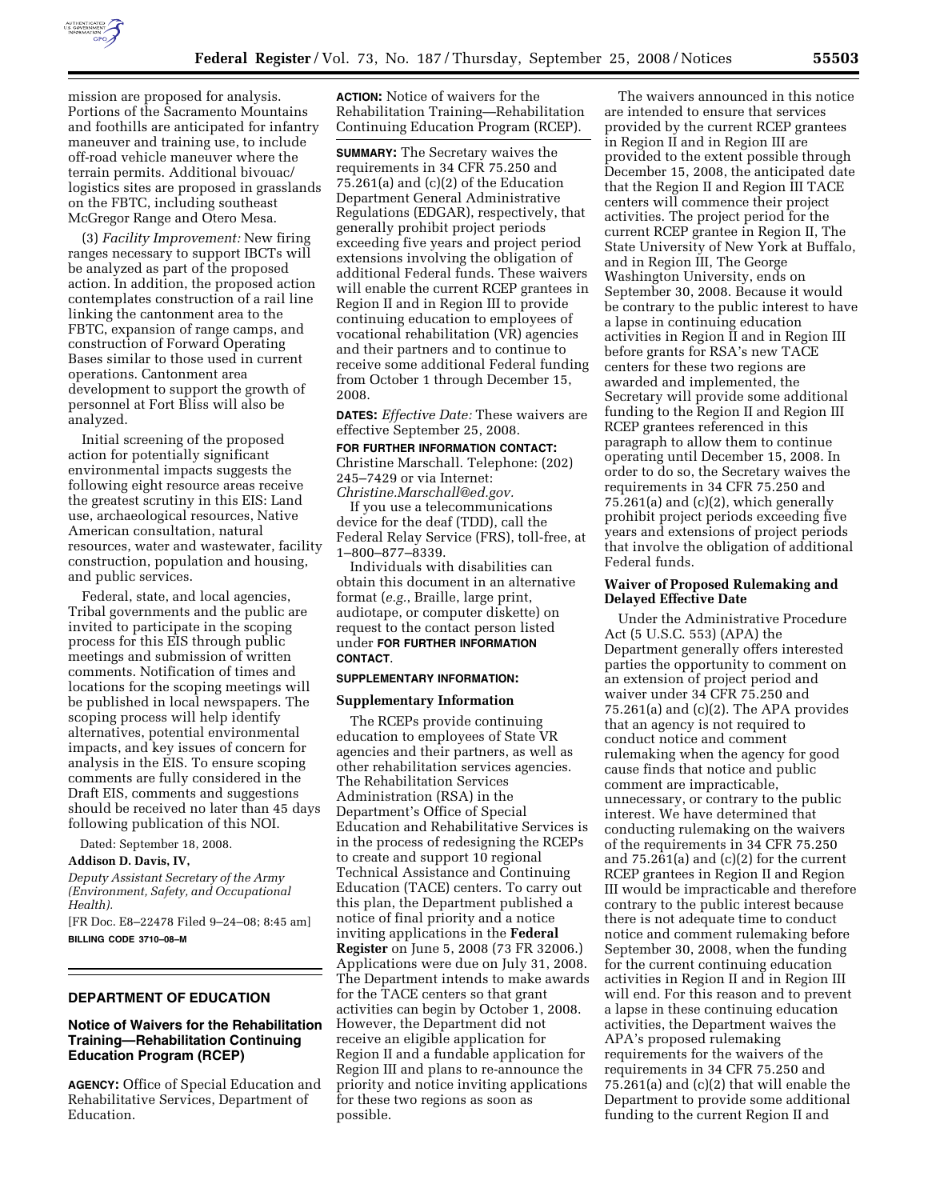

mission are proposed for analysis. Portions of the Sacramento Mountains and foothills are anticipated for infantry maneuver and training use, to include off-road vehicle maneuver where the terrain permits. Additional bivouac/ logistics sites are proposed in grasslands on the FBTC, including southeast McGregor Range and Otero Mesa.

(3) *Facility Improvement:* New firing ranges necessary to support IBCTs will be analyzed as part of the proposed action. In addition, the proposed action contemplates construction of a rail line linking the cantonment area to the FBTC, expansion of range camps, and construction of Forward Operating Bases similar to those used in current operations. Cantonment area development to support the growth of personnel at Fort Bliss will also be analyzed.

Initial screening of the proposed action for potentially significant environmental impacts suggests the following eight resource areas receive the greatest scrutiny in this EIS: Land use, archaeological resources, Native American consultation, natural resources, water and wastewater, facility construction, population and housing, and public services.

Federal, state, and local agencies, Tribal governments and the public are invited to participate in the scoping process for this EIS through public meetings and submission of written comments. Notification of times and locations for the scoping meetings will be published in local newspapers. The scoping process will help identify alternatives, potential environmental impacts, and key issues of concern for analysis in the EIS. To ensure scoping comments are fully considered in the Draft EIS, comments and suggestions should be received no later than 45 days following publication of this NOI.

Dated: September 18, 2008.

**Addison D. Davis, IV,** 

*Deputy Assistant Secretary of the Army (Environment, Safety, and Occupational Health).* 

[FR Doc. E8–22478 Filed 9–24–08; 8:45 am] **BILLING CODE 3710–08–M** 

## **DEPARTMENT OF EDUCATION**

## **Notice of Waivers for the Rehabilitation Training—Rehabilitation Continuing Education Program (RCEP)**

**AGENCY:** Office of Special Education and Rehabilitative Services, Department of Education.

**ACTION:** Notice of waivers for the Rehabilitation Training—Rehabilitation Continuing Education Program (RCEP).

**SUMMARY:** The Secretary waives the requirements in 34 CFR 75.250 and 75.261(a) and (c)(2) of the Education Department General Administrative Regulations (EDGAR), respectively, that generally prohibit project periods exceeding five years and project period extensions involving the obligation of additional Federal funds. These waivers will enable the current RCEP grantees in Region II and in Region III to provide continuing education to employees of vocational rehabilitation (VR) agencies and their partners and to continue to receive some additional Federal funding from October 1 through December 15, 2008.

**DATES:** *Effective Date:* These waivers are effective September 25, 2008.

## **FOR FURTHER INFORMATION CONTACT:**  Christine Marschall. Telephone: (202)

245–7429 or via Internet: *Christine.Marschall@ed.gov.* 

If you use a telecommunications device for the deaf (TDD), call the Federal Relay Service (FRS), toll-free, at 1–800–877–8339.

Individuals with disabilities can obtain this document in an alternative format (*e.g.*, Braille, large print, audiotape, or computer diskette) on request to the contact person listed under **FOR FURTHER INFORMATION CONTACT**.

#### **SUPPLEMENTARY INFORMATION:**

#### **Supplementary Information**

The RCEPs provide continuing education to employees of State VR agencies and their partners, as well as other rehabilitation services agencies. The Rehabilitation Services Administration (RSA) in the Department's Office of Special Education and Rehabilitative Services is in the process of redesigning the RCEPs to create and support 10 regional Technical Assistance and Continuing Education (TACE) centers. To carry out this plan, the Department published a notice of final priority and a notice inviting applications in the **Federal Register** on June 5, 2008 (73 FR 32006.) Applications were due on July 31, 2008. The Department intends to make awards for the TACE centers so that grant activities can begin by October 1, 2008. However, the Department did not receive an eligible application for Region II and a fundable application for Region III and plans to re-announce the priority and notice inviting applications for these two regions as soon as possible.

The waivers announced in this notice are intended to ensure that services provided by the current RCEP grantees in Region II and in Region III are provided to the extent possible through December 15, 2008, the anticipated date that the Region II and Region III TACE centers will commence their project activities. The project period for the current RCEP grantee in Region II, The State University of New York at Buffalo, and in Region III, The George Washington University, ends on September 30, 2008. Because it would be contrary to the public interest to have a lapse in continuing education activities in Region II and in Region III before grants for RSA's new TACE centers for these two regions are awarded and implemented, the Secretary will provide some additional funding to the Region II and Region III RCEP grantees referenced in this paragraph to allow them to continue operating until December 15, 2008. In order to do so, the Secretary waives the requirements in 34 CFR 75.250 and 75.261(a) and (c)(2), which generally prohibit project periods exceeding five years and extensions of project periods that involve the obligation of additional Federal funds.

### **Waiver of Proposed Rulemaking and Delayed Effective Date**

Under the Administrative Procedure Act (5 U.S.C. 553) (APA) the Department generally offers interested parties the opportunity to comment on an extension of project period and waiver under 34 CFR 75.250 and 75.261(a) and (c)(2). The APA provides that an agency is not required to conduct notice and comment rulemaking when the agency for good cause finds that notice and public comment are impracticable, unnecessary, or contrary to the public interest. We have determined that conducting rulemaking on the waivers of the requirements in 34 CFR 75.250 and 75.261(a) and (c)(2) for the current RCEP grantees in Region II and Region III would be impracticable and therefore contrary to the public interest because there is not adequate time to conduct notice and comment rulemaking before September 30, 2008, when the funding for the current continuing education activities in Region II and in Region III will end. For this reason and to prevent a lapse in these continuing education activities, the Department waives the APA's proposed rulemaking requirements for the waivers of the requirements in 34 CFR 75.250 and 75.261(a) and (c)(2) that will enable the Department to provide some additional funding to the current Region II and